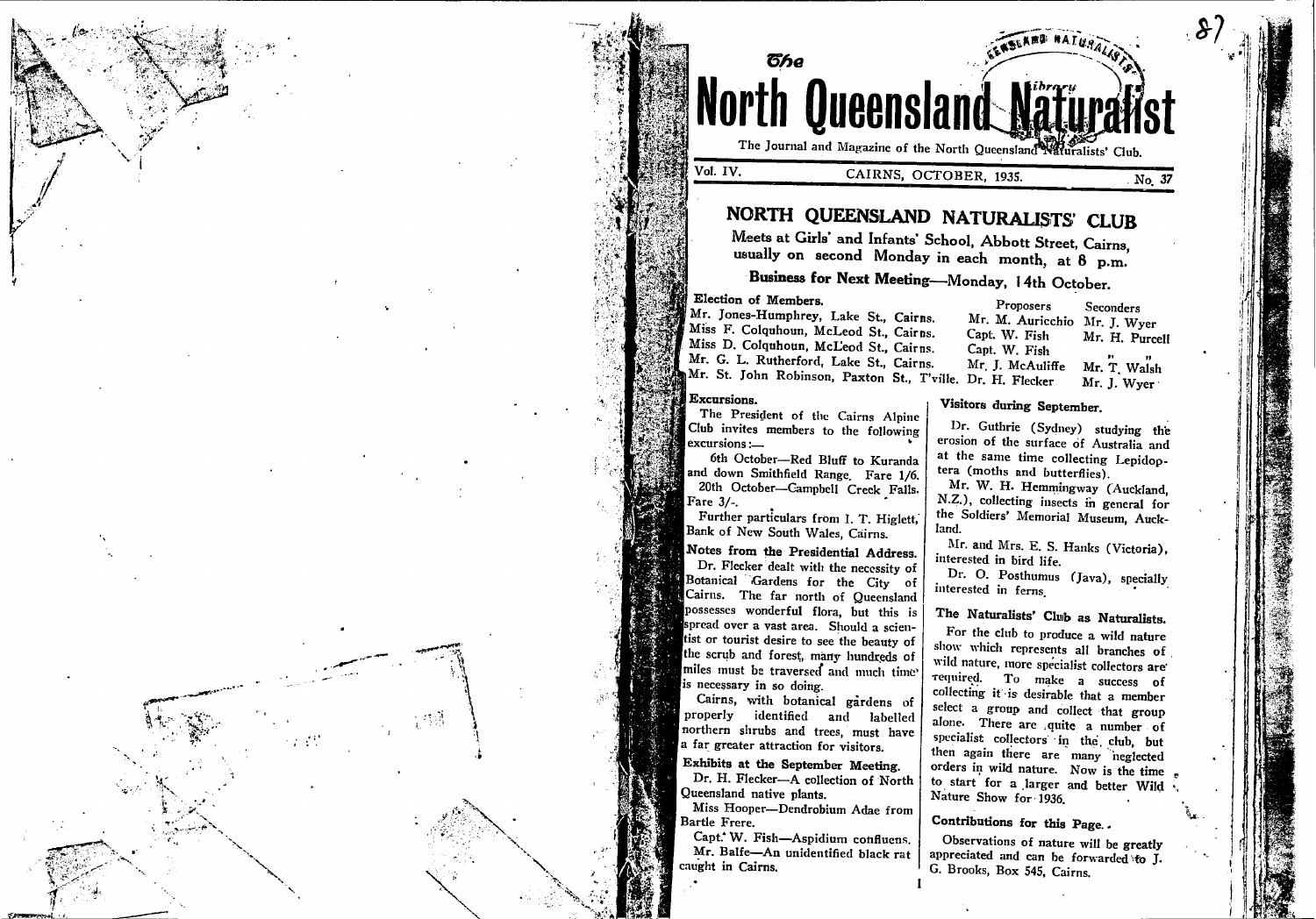

Vol. IV.

## CAIRNS, OCTOBER, 1935.

# NORTH QUEENSLAND NATURALISTS' CLUB

Meets at Girls' and Infants' School, Abbott Street, Cairns, usually on second Monday in each month, at 8 p.m.

# Business for Next Meeting-Monday, 14th October.

Election of Members.

ิติหล

Mr. Jones-Humphrey, Lake St., Cairns. Miss F. Colquhoun, McLeod St., Cairns. Miss D. Colquhoun, McLeod St., Cairns. Mr. G. L. Rutherford. Lake St., Cairns. Mr. St. John Robinson, Paxton St., T'ville. Dr. H. Flecker

### Excursions.

The President of the Cairns Alpine Club invites members to the following excursions :—

6th October-Red Bluff to Kuranda and down Smithfield Range. Fare 1/6. 20th October-Campbell Creek Falls. Fare 3/-.

Further particulars from I. T. Higlett, Bank of New South Wales, Cairns.

Notes from the Presidential Address. Dr. Flecker dealt with the necessity of Botanical Gardens for the City of Cairus. The far north of Queensland possesses wonderful flora, but this is spread over a vast area. Should a scientist or tourist desire to see the beauty of the scrub and forest, many hundreds of miles must be traversed and much time' is necessary in so doing.

Cairns, with botanical gardens of properly identified and labelled northern shrubs and trees, must have a far greater attraction for visitors.

Exhibits at the September Meeting. Dr. H. Flecker-A collection of North Queensland native plants.

Miss Hooper-Dendrobium Adae from Bartle Frere.

Capt. W. Fish-Aspidium confluens. Mr. Balfe-An unidentified black rat caught in Cairns.

Proposers Seconders Mr. M. Auricchio Mr. J. Wyer Capt. W. Fish Mr. H. Purcell Capt. W. Fish Mr. J. McAuliffe Mr. T. Walsh Mr. J. Wyer

**ARD RATUSA** 

## Visitors during September.

Dr. Guthrie (Sydney) studying the erosion of the surface of Australia and at the same time collecting Lepidoptera (moths and butterflies).

Mr. W. H. Hemmingway (Auckland, N.Z.), collecting insects in general for the Soldiers' Memorial Museum, Auckland.

Mr. and Mrs. E. S. Hanks (Victoria), interested in bird life.

Dr. O. Posthumus (Java), specially interested in ferns.

# The Naturalists' Club as Naturalists.

For the club to produce a wild nature show which represents all branches of wild nature, more specialist collectors are required. To make a success of collecting it is desirable that a member select a group and collect that group alone. There are quite a number of specialist collectors in the club, but then again there are many neglected orders in wild nature. Now is the time to start for a larger and better Wild Nature Show for 1936.

Contributions for this Page.

Observations of nature will be greatly appreciated and can be forwarded to J. G. Brooks, Box 545, Cairns.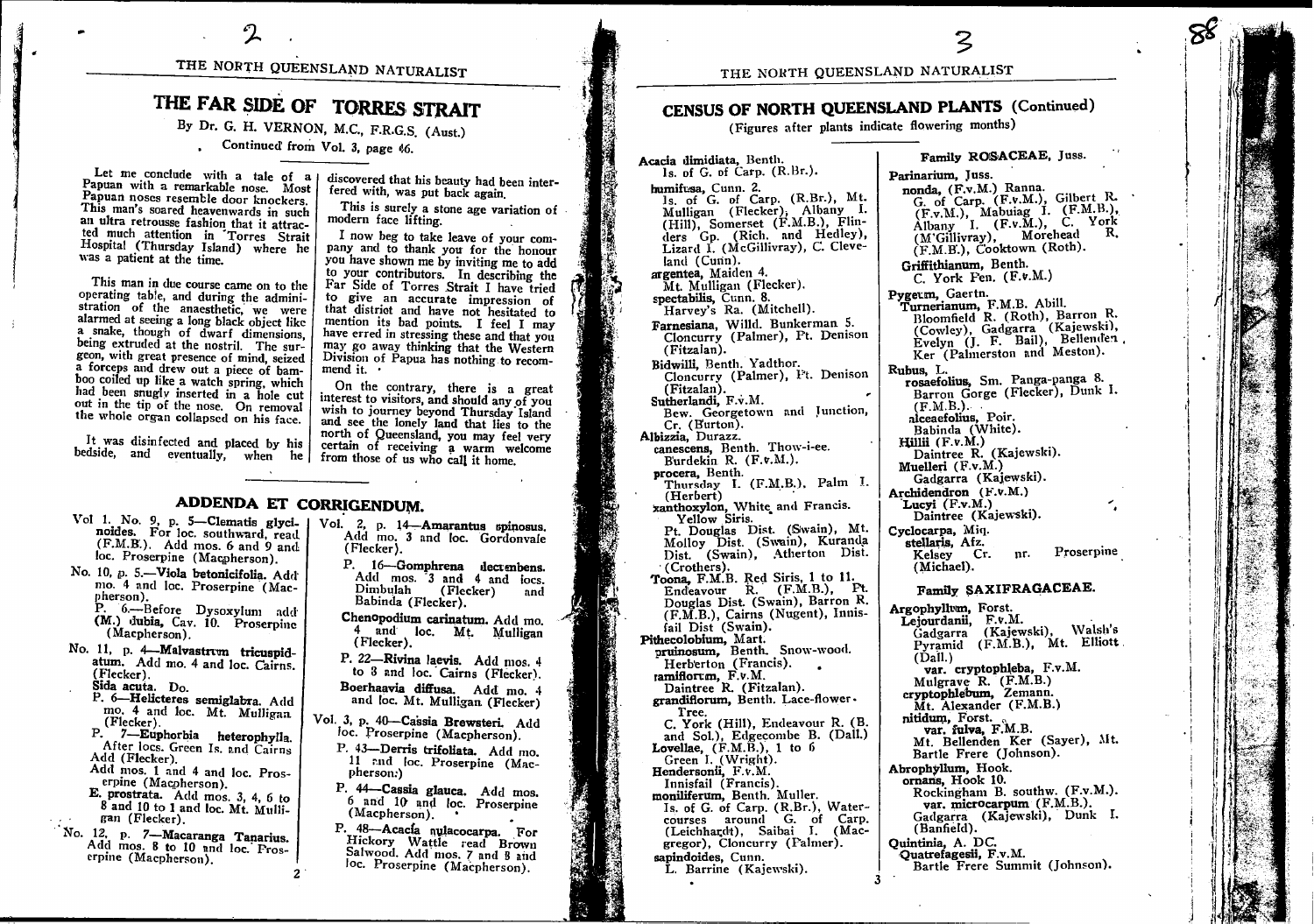# THE NORTH QUEENSLAND NATURALIST

# THE FAR SIDE OF TORRES STRAIT

By Dr. G. H. VERNON, M.C., F.R.G.S. (Aust.)

Continued from Vol. 3, page 46.

Let me conclude with a tale of a Papuan with a remarkable nose. Most Papuan noses resemble door knockers. This man's soared heavenwards in such an ultra retrousse fashion that it attracted much attention in Torres Strait Hospital (Thursday Island) where he was a patient at the time.

This man in due course came on to the operating table, and during the administration of the anaesthetic, we were alarmed at seeing a long black object like a snake, though of dwarf dimensions, being extruded at the nostril. The surgeon, with great presence of mind, seized a forceps and drew out a piece of bamboo coiled up like a watch spring, which had been snugly inserted in a hole cut out in the tip of the nose. On removal the whole organ collapsed on his face.

It was disinfected and placed by his

discovered that his beauty had been interfered with, was put back again.

This is surely a stone age variation of modern face lifting.

I now beg to take leave of your company and to thank you for the honour you have shown me by inviting me to add to your contributors. In describing the Far Side of Torres Strait I have tried to give an accurate impression of that district and have not hesitated to mention its bad points. I feel I may have erred in stressing these and that you may go away thinking that the Western Division of Papua has nothing to recommend it.

On the contrary, there is a great interest to visitors, and should any of you wish to journey beyond Thursday Island and see the lonely land that lies to the north of Queensland, you may feel very certain of receiving a warm welcome bedside, and eventually, when he from those of us who call it home.

# ADDENDA ET CORRIGENDUM.

- Vol 1. No. 9, p. 5-Clematis glyci- | noides. For loc. southward, read. (F.M.B.). Add mos. 6 and 9 and loc. Proserpine (Macpherson).
- No. 10, p. 5.-Viola betonicifolia. Add mo. 4 and loc. Proserpine (Macpherson).

P. 6.--- Before Dysoxylum add (M.) dubia, Cav. 10. Proserpine (Macpherson).

- No. 11, p. 4-Malvastrum tricuspidatum. Add mo. 4 and loc. Cairns. (Flecker). Sida acuta. Do.
	- P. 6-Helicteres semiglabra. Add mo. 4 and loc. Mt. Mulligan (Flecker).
	- P. 7-Euphorbia heterophylla. After locs. Green Is. and Cairns Add (Flecker).
	- Add mos. 1 and 4 and loc. Proserpine  $(Macphereson)$ .
	- E. prostrata. Add mos. 3, 4, 6 to 8 and 10 to 1 and loc. Mt. Mulligan (Flecker).

No. 12, p. 7-Macaranga Tanarius. Add mos. 8 to 10 and loc. Froserpine (Macpherson).

Vol. 2, p. 14 Amarantus spinosus.<br>Add mo. 3 and loc. Gordonvale (Flecker).

> P. 16-Gomphrena decumbens. Add mos. 3 and 4 and locs. Dimbulah (Flecker) and Babinda (Flecker).

Chenopodium carinatum. Add mo. 4 and loc. Mt. Mulligan (Flecker).

P. 22-Rivina laevis. Add mos. 4 to 3 and loc. Cairns (Flecker).

- Boerhaavia diffusa. Add mo. 4 and loc. Mt. Mulligan (Flecker)
- Vol. 3, p. 40-Cassia Brewsteri. Add loc. Proserpine (Macpherson).
	- P. 43-Derris trifoliata. Add mo. 11 rnd loc. Proserpine (Macpherson:)
	- P. 44-Cassia glauca. Add mos. 6 and 10 and loc. Proserpine  $(Macpherson)$ .
	- P. 48-Acacía nulacocarpa. For Hickory Wattle read Brown Salwood. Add mos. 7 and 8 and loc. Proserpine (Macpherson).

Parinarium, Juss.

Family ROSACEAE, Juss.

THE NORTH QUEENSLAND NATURALIST

# CENSUS OF NORTH QUEENSLAND PLANTS (Continued)

(Figures after plants indicate flowering months)

Acacia dimidiata, Benth. ls. of G. of Carp. (R.Br.). humifusa, Cunn. 2. 1s. of G. of Carp. (R.Br.), Mt. Mulligan (Flecker), Albany I.<br>Mulligan (Flecker), Albany I.<br>(Hill), Somerset (F.M.B.), Flin-<br>ders Gp. (Rich. and Hedley),<br>Lizard I. (McGillivray), C. Cleveland (Cunn). argentea, Maiden 4. Mt. Mulligan (Flecker). spectabilis, Cunn. 8. Harvey's Ra. (Mitchell). Farnesiana, Willd. Bunkerman 5. Cloncurry (Palmer), Pt. Denison (Fitzalan). Bidwilli, Benth. Yadthor.<br>Cloncurry (Palmer), I't. Denison (Fitzalan).<br>Sutherlandi, F.v.M. Bew. Georgetown and Junction,<br>Cr. (Eurton). Albizzia, Durazz. canescens, Benth. Thow-i-ee. Burdekin R. (F.v.M.). procera, Benth. Thursday I. (F.M.B.), Palm I. (Herbert) xanthoxylon, White and Francis. Yellow Siris. 1 Louglas Dist. (Swain), Mt.<br>Molloy Dist. (Swain), Kuranda<br>Dist. (Swain), Atherton Dist. (Crothers). Toona, F.M.B. Red Siris, 1 to 11.<br>Endeavour R. (F.M.B.), Pt. Douglas Dist. (Swain), Barron R. (F.M.B.), Cairns (Nugent), Innis-<br>fail Dist (Swain). Pithecolobium, Mart.<br>pruinosum, Benth. Snow-wood. Herberton (Francis). ramiflorum. F.v.M. Daintree R. (Fitzalan). grandiflorum, Benth. Lace-flower. Tree. C. York (Hill), Endeavour R. (B. and Sol.), Edgecombe B. (Dall.) Lovellae,  $(F.M.\widetilde{B.})$ , 1 to 6 Green I. (Wright). Hendersonii, F.v.M. Innisfail (Francis). moniliferum, Benth. Muller. Is. of G. of Carp. (R.Br.), Watercourses around G. of Carp.<br>(Leichhardt), Saibai J. (Macgregor), Cloncurry (Falmer). sapindoides, Cunn. L. Barrine (Kajewski).

nonda, (F.v.M.) Ranna. nonca, (F.v.m.) Kanna.<br>
G. of Carp. (F.v.M.), Gilbert R.<br>
(F.v.M.), Mabuiag I. (F.M.B.),<br>
(K.M.Bany I. (F.v.M.), C. York<br>
(M'Gillivray), Morehead R.<br>
(F.M.B.), Cooktown (Roth). Griffithianum, Benth.  $C.$  York Fen.  $(F.v.M.)$ Pygeum, Gaertn. Turnerianum. F.M.B. Abill. Bloomfield R. (Roth), Barron R. (Cowley), Gadgarra (Kajewski),<br>Evelyn (J. F. Bail), Bellenden Ker (Palmerston and Meston). Rubus, L. rosaefolius, Sm. Panga-panga 8. Barron Gorge (Flecker), Dunk I.  $(F.M.B.).$ alceaefolius, Poir. Babinda (White).  $Hillii$   $(F.v.M.)$ Daintree R. (Kajewski). Muelleri  $(F.v.M.)$ Gadgarra (Kajewski). Archidendron (F.v.M.) Lucyi  $(F.v.M.)$ Daintree (Kajewski). Cyclocarpa, Miq. stellaris, Afz. Kelsey Cr.<br>(Michael). Proserpine nr. Family SAXIFRAGACEAE. Argophyllum, Forst. Lejourdanii, F.v.M. Gadgarra (Kajewski), Walsh's<br>Pyramid (F.M.B.), Mt. Elliott  $(Dall.)$ var. cryptophleba, F.v.M. Mulgrave  $R.$  (F.M.B.) cryptophlebum, Zemann. Mt. Alexander (F.M.B.) nitidum, Forst.<br>var. fulva, F.M.B. Mt. Bellenden Ker (Sayer), Mt. Bartle Frere (Johnson). Abrophyllum, Hook. ornans, Hook 10. Rockingham B. southw. (F.v.M.). var. microcarpum (F.M.B.). Gadgarra (Kajewski), Dunk I. (Banfield). Ouintinia. A. DC. Quatrefagesii, F.v.M.

Bartle Frere Summit (Johnson).